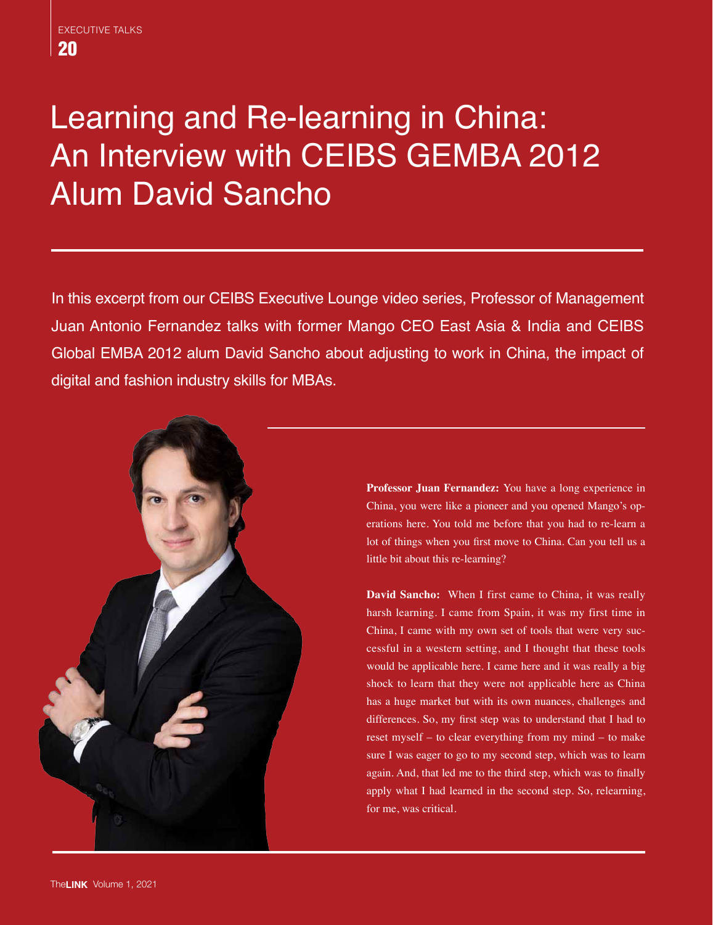## Learning and Re-learning in China: An Interview with CEIBS GEMBA 2012 Alum David Sancho

In this excerpt from our CEIBS Executive Lounge video series, Professor of Management Juan Antonio Fernandez talks with former Mango CEO East Asia & India and CEIBS Global EMBA 2012 alum David Sancho about adjusting to work in China, the impact of digital and fashion industry skills for MBAs.



**Professor Juan Fernandez:** You have a long experience in China, you were like a pioneer and you opened Mango's operations here. You told me before that you had to re-learn a lot of things when you first move to China. Can you tell us a little bit about this re-learning?

**David Sancho:** When I first came to China, it was really harsh learning. I came from Spain, it was my first time in China, I came with my own set of tools that were very successful in a western setting, and I thought that these tools would be applicable here. I came here and it was really a big shock to learn that they were not applicable here as China has a huge market but with its own nuances, challenges and differences. So, my first step was to understand that I had to reset myself – to clear everything from my mind – to make sure I was eager to go to my second step, which was to learn again. And, that led me to the third step, which was to finally apply what I had learned in the second step. So, relearning, for me, was critical.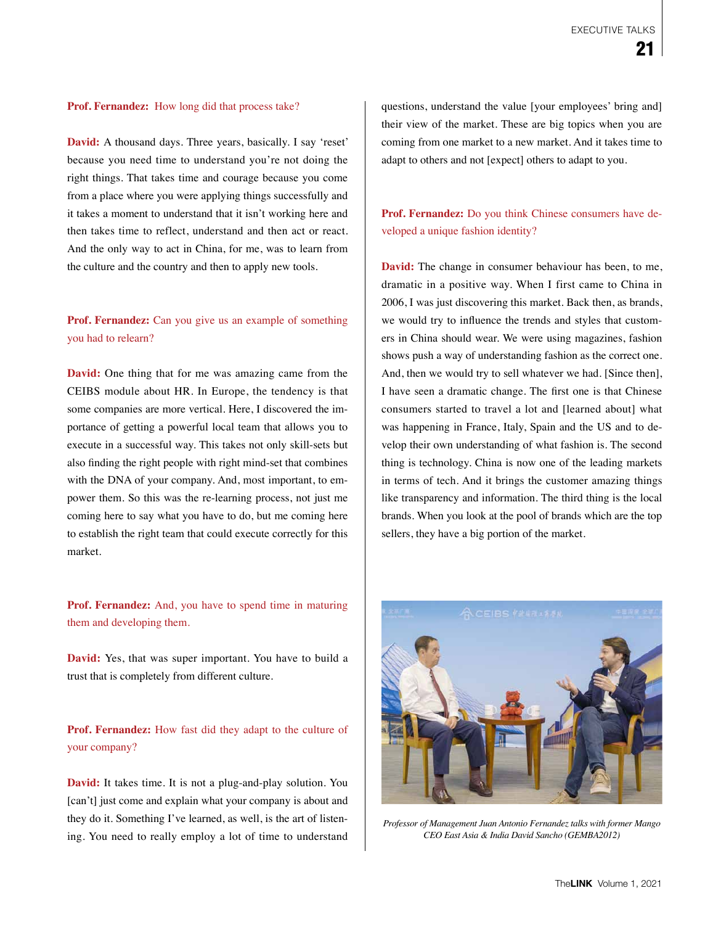## **Prof. Fernandez:** How long did that process take?

**David:** A thousand days. Three years, basically. I say 'reset' because you need time to understand you're not doing the right things. That takes time and courage because you come from a place where you were applying things successfully and it takes a moment to understand that it isn't working here and then takes time to reflect, understand and then act or react. And the only way to act in China, for me, was to learn from the culture and the country and then to apply new tools.

## **Prof. Fernandez:** Can you give us an example of something you had to relearn?

**David:** One thing that for me was amazing came from the CEIBS module about HR. In Europe, the tendency is that some companies are more vertical. Here, I discovered the importance of getting a powerful local team that allows you to execute in a successful way. This takes not only skill-sets but also finding the right people with right mind-set that combines with the DNA of your company. And, most important, to empower them. So this was the re-learning process, not just me coming here to say what you have to do, but me coming here to establish the right team that could execute correctly for this market.

**Prof. Fernandez:** And, you have to spend time in maturing them and developing them.

**David:** Yes, that was super important. You have to build a trust that is completely from different culture.

**Prof. Fernandez:** How fast did they adapt to the culture of your company?

**David:** It takes time. It is not a plug-and-play solution. You [can't] just come and explain what your company is about and they do it. Something I've learned, as well, is the art of listening. You need to really employ a lot of time to understand

questions, understand the value [your employees' bring and] their view of the market. These are big topics when you are coming from one market to a new market. And it takes time to adapt to others and not [expect] others to adapt to you.

**Prof. Fernandez:** Do you think Chinese consumers have developed a unique fashion identity?

**David:** The change in consumer behaviour has been, to me, dramatic in a positive way. When I first came to China in 2006, I was just discovering this market. Back then, as brands, we would try to influence the trends and styles that customers in China should wear. We were using magazines, fashion shows push a way of understanding fashion as the correct one. And, then we would try to sell whatever we had. [Since then], I have seen a dramatic change. The first one is that Chinese consumers started to travel a lot and [learned about] what was happening in France, Italy, Spain and the US and to develop their own understanding of what fashion is. The second thing is technology. China is now one of the leading markets in terms of tech. And it brings the customer amazing things like transparency and information. The third thing is the local brands. When you look at the pool of brands which are the top sellers, they have a big portion of the market.



*Professor of Management Juan Antonio Fernandez talks with former Mango CEO East Asia & India David Sancho (GEMBA2012)*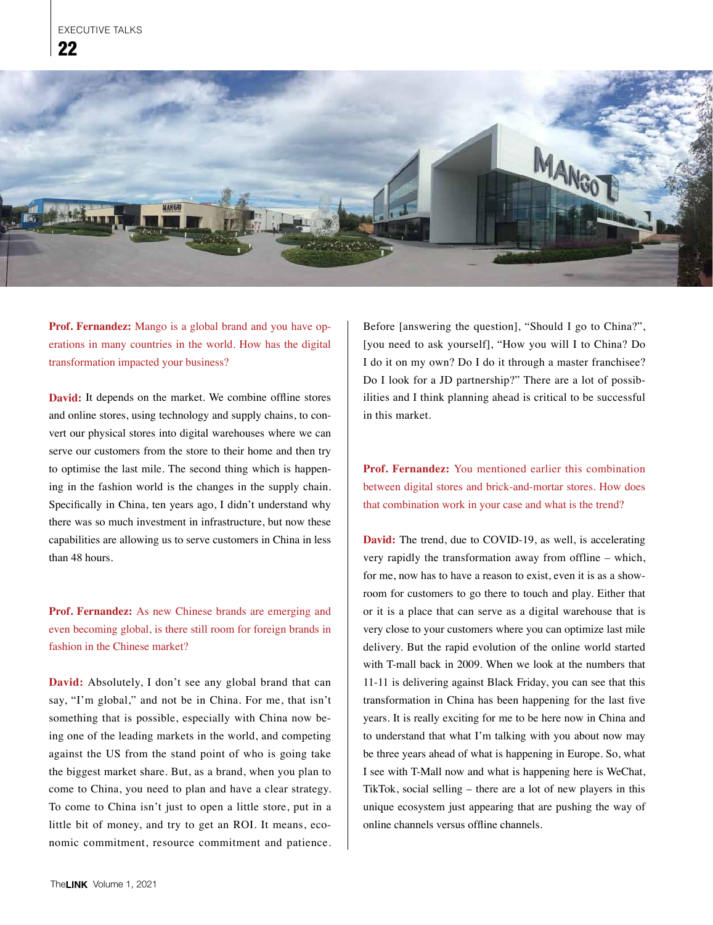

**Prof. Fernandez:** Mango is a global brand and you have operations in many countries in the world. How has the digital transformation impacted your business?

**David:** It depends on the market. We combine offline stores and online stores, using technology and supply chains, to convert our physical stores into digital warehouses where we can serve our customers from the store to their home and then try to optimise the last mile. The second thing which is happening in the fashion world is the changes in the supply chain. Specifically in China, ten years ago, I didn't understand why there was so much investment in infrastructure, but now these capabilities are allowing us to serve customers in China in less than 48 hours.

**Prof. Fernandez:** As new Chinese brands are emerging and even becoming global, is there still room for foreign brands in fashion in the Chinese market?

**David:** Absolutely, I don't see any global brand that can say, "I'm global," and not be in China. For me, that isn't something that is possible, especially with China now being one of the leading markets in the world, and competing against the US from the stand point of who is going take the biggest market share. But, as a brand, when you plan to come to China, you need to plan and have a clear strategy. To come to China isn't just to open a little store, put in a little bit of money, and try to get an ROI. It means, economic commitment, resource commitment and patience.

Before [answering the question], "Should I go to China?", [you need to ask yourself], "How you will I to China? Do I do it on my own? Do I do it through a master franchisee? Do I look for a JD partnership?" There are a lot of possibilities and I think planning ahead is critical to be successful in this market.

**Prof. Fernandez:** You mentioned earlier this combination between digital stores and brick-and-mortar stores. How does that combination work in your case and what is the trend?

**David:** The trend, due to COVID-19, as well, is accelerating very rapidly the transformation away from offline – which, for me, now has to have a reason to exist, even it is as a showroom for customers to go there to touch and play. Either that or it is a place that can serve as a digital warehouse that is very close to your customers where you can optimize last mile delivery. But the rapid evolution of the online world started with T-mall back in 2009. When we look at the numbers that 11-11 is delivering against Black Friday, you can see that this transformation in China has been happening for the last five years. It is really exciting for me to be here now in China and to understand that what I'm talking with you about now may be three years ahead of what is happening in Europe. So, what I see with T-Mall now and what is happening here is WeChat, TikTok, social selling – there are a lot of new players in this unique ecosystem just appearing that are pushing the way of online channels versus offline channels.